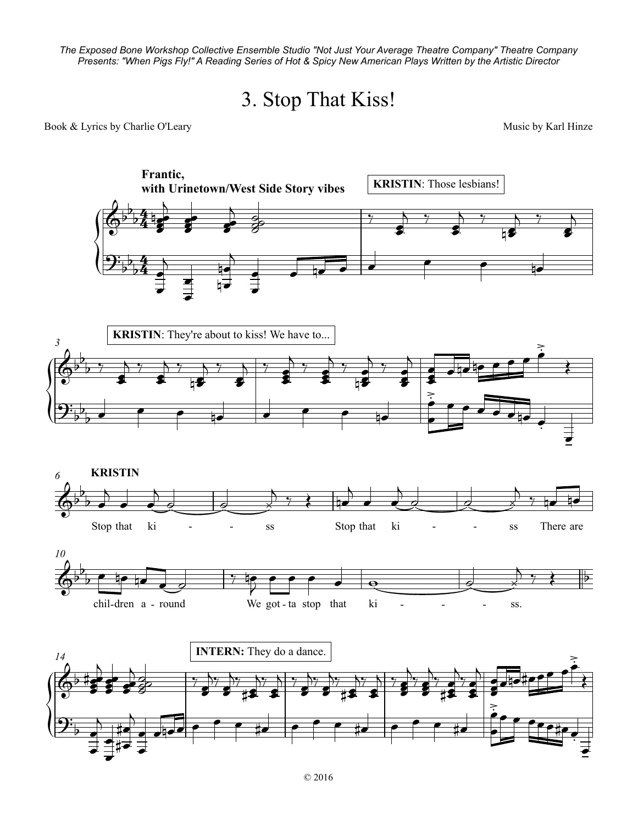*The Exposed Bone Workshop Collective Ensemble Studio "Not Just Your Average Theatre Company" Theatre Company* Expected Bone Women by Collective Encomple Station World Life Worldge Theater Company Theater Company<br>Presents: "When Pigs Fly!" A Reading Series of Hot & Spicy New American Plays Written by the Artistic Director

## 3. Stop That Kiss!

## Book & Lyrics by Charlie O'Leary and the Community of the Music by Karl Hinze

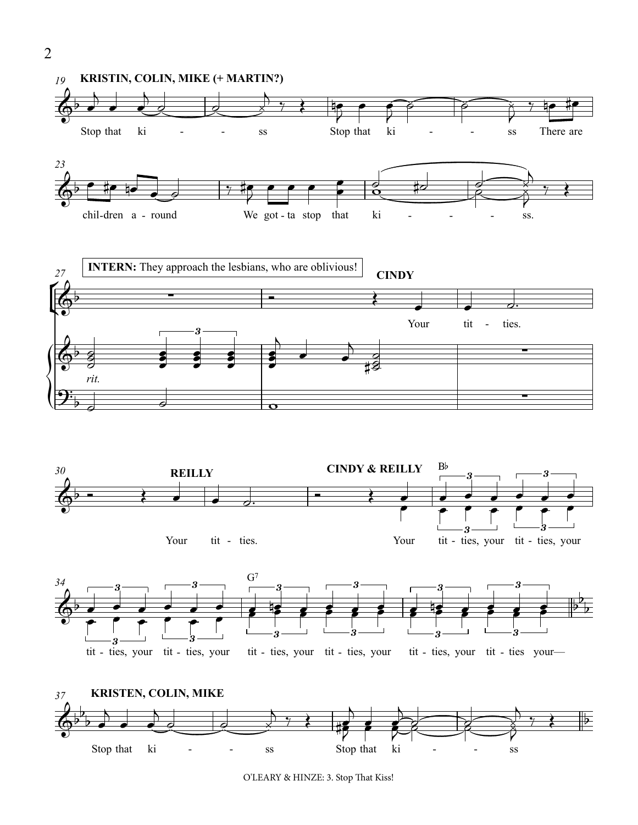

O'LEARY & HINZE: 3. Stop That Kiss!